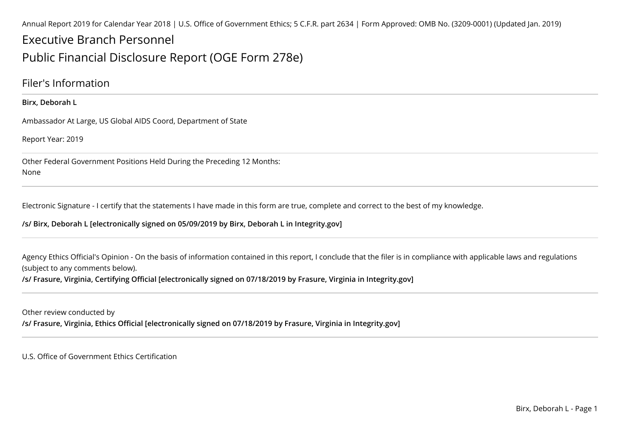Annual Report 2019 for Calendar Year 2018 | U.S. Office of Government Ethics; 5 C.F.R. part 2634 | Form Approved: OMB No. (3209-0001) (Updated Jan. 2019)

# Executive Branch PersonnelPublic Financial Disclosure Report (OGE Form 278e)

Filer's Information

**Birx, Deborah L**

Ambassador At Large, US Global AIDS Coord, Department of State

Report Year: 2019

Other Federal Government Positions Held During the Preceding 12 Months:None

Electronic Signature - I certify that the statements I have made in this form are true, complete and correct to the best of my knowledge.

**/s/ Birx, Deborah L [electronically signed on 05/09/2019 by Birx, Deborah L in Integrity.gov]** 

Agency Ethics Official's Opinion - On the basis of information contained in this report, I conclude that the filer is in compliance with applicable laws and regulations (subject to any comments below).

**/s/ Frasure, Virginia, Certifying Official [electronically signed on 07/18/2019 by Frasure, Virginia in Integrity.gov]**

Other review conducted by**/s/ Frasure, Virginia, Ethics Official [electronically signed on 07/18/2019 by Frasure, Virginia in Integrity.gov]**

U.S. Office of Government Ethics Certification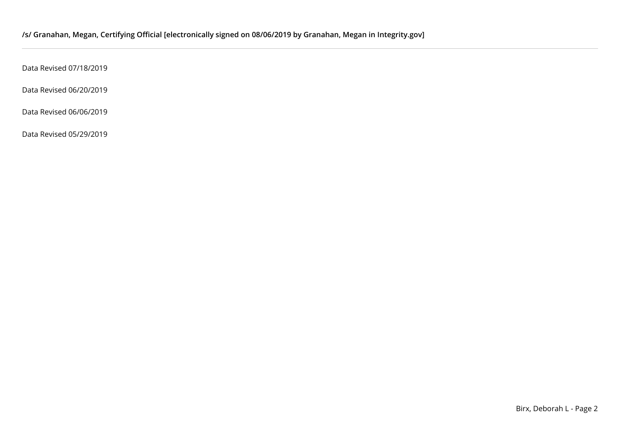Data Revised 07/18/2019

Data Revised 06/20/2019

Data Revised 06/06/2019

Data Revised 05/29/2019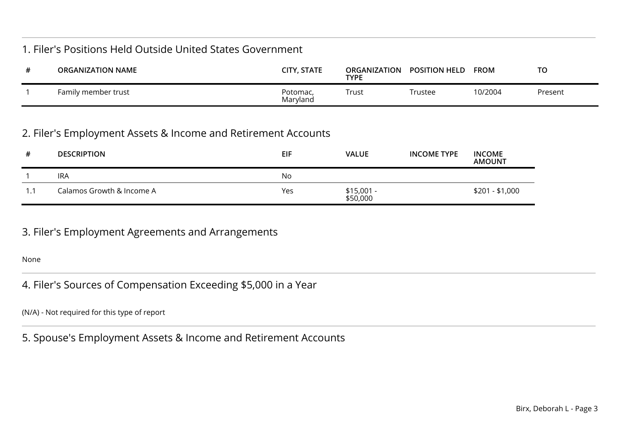### 1. Filer's Positions Held Outside United States Government

| -44 | <b>ORGANIZATION NAME</b> | <b>CITY, STATE</b>   | <b>ORGANIZATION</b><br><b>TYPE</b> | <b>POSITION HELD</b> | <b>FROM</b> | TO      |
|-----|--------------------------|----------------------|------------------------------------|----------------------|-------------|---------|
|     | Family member trust      | Potomac,<br>Maryland | 'rust                              | rustee               | 10/2004     | Present |

## 2. Filer's Employment Assets & Income and Retirement Accounts

| #    | <b>DESCRIPTION</b>        | EIF | <b>VALUE</b>            | <b>INCOME TYPE</b> | <b>INCOME</b><br><b>AMOUNT</b> |
|------|---------------------------|-----|-------------------------|--------------------|--------------------------------|
|      | IRA                       | No  |                         |                    |                                |
| 1. ا | Calamos Growth & Income A | Yes | $$15,001 -$<br>\$50,000 |                    | \$201 - \$1,000                |

### 3. Filer's Employment Agreements and Arrangements

None

# 4. Filer's Sources of Compensation Exceeding \$5,000 in a Year

(N/A) - Not required for this type of report

## 5. Spouse's Employment Assets & Income and Retirement Accounts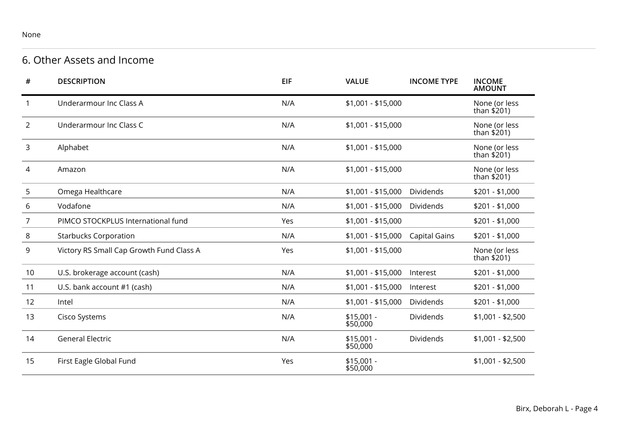#### None

# 6. Other Assets and Income

| #              | <b>DESCRIPTION</b>                       | <b>EIF</b> | <b>VALUE</b>            | <b>INCOME TYPE</b>   | <b>INCOME</b><br><b>AMOUNT</b> |
|----------------|------------------------------------------|------------|-------------------------|----------------------|--------------------------------|
| $\mathbf{1}$   | Underarmour Inc Class A                  | N/A        | $$1,001 - $15,000$      |                      | None (or less<br>than \$201)   |
| 2              | Underarmour Inc Class C                  | N/A        | \$1,001 - \$15,000      |                      | None (or less<br>than \$201)   |
| 3              | Alphabet                                 | N/A        | \$1,001 - \$15,000      |                      | None (or less<br>than \$201)   |
| 4              | Amazon                                   | N/A        | $$1,001 - $15,000$      |                      | None (or less<br>than \$201)   |
| 5              | Omega Healthcare                         | N/A        | $$1,001 - $15,000$      | Dividends            | $$201 - $1,000$                |
| 6              | Vodafone                                 | N/A        | $$1,001 - $15,000$      | Dividends            | $$201 - $1,000$                |
| $\overline{7}$ | PIMCO STOCKPLUS International fund       | Yes        | $$1,001 - $15,000$      |                      | $$201 - $1,000$                |
| 8              | <b>Starbucks Corporation</b>             | N/A        | $$1,001 - $15,000$      | <b>Capital Gains</b> | $$201 - $1,000$                |
| 9              | Victory RS Small Cap Growth Fund Class A | Yes        | \$1,001 - \$15,000      |                      | None (or less<br>than $$201$ ) |
| 10             | U.S. brokerage account (cash)            | N/A        | $$1,001 - $15,000$      | Interest             | $$201 - $1,000$                |
| 11             | U.S. bank account #1 (cash)              | N/A        | $$1,001 - $15,000$      | Interest             | $$201 - $1,000$                |
| 12             | Intel                                    | N/A        | $$1,001 - $15,000$      | Dividends            | $$201 - $1,000$                |
| 13             | Cisco Systems                            | N/A        | $$15,001 -$<br>\$50,000 | Dividends            | $$1,001 - $2,500$              |
| 14             | <b>General Electric</b>                  | N/A        | $$15,001 -$<br>\$50,000 | <b>Dividends</b>     | $$1,001 - $2,500$              |
| 15             | First Eagle Global Fund                  | Yes        | $$15,001 -$<br>\$50,000 |                      | $$1,001 - $2,500$              |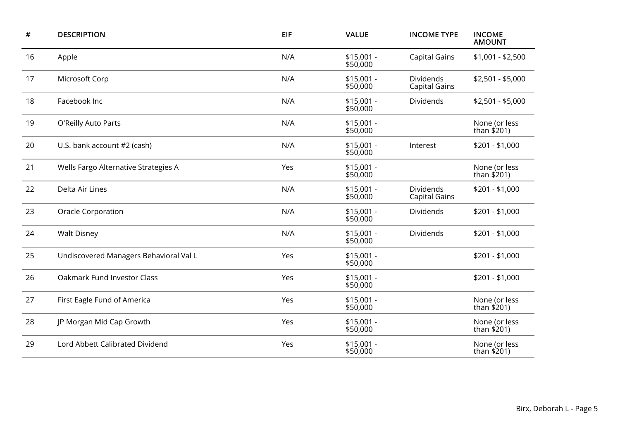| #  | <b>DESCRIPTION</b>                     | EIF | <b>VALUE</b>            | <b>INCOME TYPE</b>                       | <b>INCOME</b><br><b>AMOUNT</b> |
|----|----------------------------------------|-----|-------------------------|------------------------------------------|--------------------------------|
| 16 | Apple                                  | N/A | $$15,001 -$<br>\$50,000 | <b>Capital Gains</b>                     | $$1,001 - $2,500$              |
| 17 | Microsoft Corp                         | N/A | $$15,001 -$<br>\$50,000 | <b>Dividends</b><br><b>Capital Gains</b> | $$2,501 - $5,000$              |
| 18 | Facebook Inc                           | N/A | $$15,001 -$<br>\$50,000 | Dividends                                | $$2,501 - $5,000$              |
| 19 | O'Reilly Auto Parts                    | N/A | $$15,001 -$<br>\$50,000 |                                          | None (or less<br>than $$201)$  |
| 20 | U.S. bank account #2 (cash)            | N/A | $$15,001 -$<br>\$50,000 | Interest                                 | $$201 - $1,000$                |
| 21 | Wells Fargo Alternative Strategies A   | Yes | $$15,001 -$<br>\$50,000 |                                          | None (or less<br>than $$201)$  |
| 22 | Delta Air Lines                        | N/A | $$15,001 -$<br>\$50,000 | Dividends<br><b>Capital Gains</b>        | $$201 - $1,000$                |
| 23 | Oracle Corporation                     | N/A | $$15,001 -$<br>\$50,000 | Dividends                                | $$201 - $1,000$                |
| 24 | <b>Walt Disney</b>                     | N/A | $$15,001 -$<br>\$50,000 | Dividends                                | $$201 - $1,000$                |
| 25 | Undiscovered Managers Behavioral Val L | Yes | $$15,001 -$<br>\$50,000 |                                          | $$201 - $1,000$                |
| 26 | Oakmark Fund Investor Class            | Yes | $$15,001 -$<br>\$50,000 |                                          | $$201 - $1,000$                |
| 27 | First Eagle Fund of America            | Yes | $$15,001 -$<br>\$50,000 |                                          | None (or less<br>than \$201)   |
| 28 | JP Morgan Mid Cap Growth               | Yes | $$15,001 -$<br>\$50,000 |                                          | None (or less<br>than \$201)   |
| 29 | Lord Abbett Calibrated Dividend        | Yes | $$15,001 -$<br>\$50,000 |                                          | None (or less<br>than \$201)   |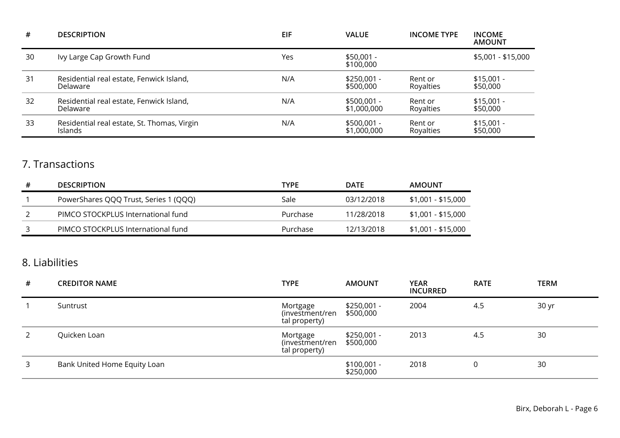| #  | <b>DESCRIPTION</b>                                     | EIF | <b>VALUE</b>                | <b>INCOME TYPE</b>   | <b>INCOME</b><br><b>AMOUNT</b> |
|----|--------------------------------------------------------|-----|-----------------------------|----------------------|--------------------------------|
| 30 | Ivy Large Cap Growth Fund                              | Yes | $$50,001 -$<br>\$100,000    |                      | $$5,001 - $15,000$             |
| 31 | Residential real estate, Fenwick Island,<br>Delaware   | N/A | $$250,001 -$<br>\$500,000   | Rent or<br>Royalties | $$15,001 -$<br>\$50,000        |
| 32 | Residential real estate, Fenwick Island,<br>Delaware   | N/A | $$500,001 -$<br>\$1,000,000 | Rent or<br>Royalties | $$15,001 -$<br>\$50,000        |
| 33 | Residential real estate, St. Thomas, Virgin<br>Islands | N/A | $$500,001 -$<br>\$1,000,000 | Rent or<br>Royalties | $$15,001 -$<br>\$50,000        |

# 7. Transactions

| <b>DESCRIPTION</b>                    | <b>TYPE</b> | <b>DATE</b> | AMOUNT             |
|---------------------------------------|-------------|-------------|--------------------|
| PowerShares QQQ Trust, Series 1 (QQQ) | Sale        | 03/12/2018  | \$1,001 - \$15,000 |
| PIMCO STOCKPLUS International fund    | Purchase    | 11/28/2018  | \$1,001 - \$15,000 |
| PIMCO STOCKPLUS International fund    | Purchase    | 12/13/2018  | \$1,001 - \$15,000 |

# 8. Liabilities

| # | <b>CREDITOR NAME</b>         | <b>TYPE</b>                                  | <b>AMOUNT</b>             | <b>YEAR</b><br><b>INCURRED</b> | <b>RATE</b> | <b>TERM</b> |
|---|------------------------------|----------------------------------------------|---------------------------|--------------------------------|-------------|-------------|
|   | Suntrust                     | Mortgage<br>(investment/ren<br>tal property) | $$250,001 -$<br>\$500,000 | 2004                           | 4.5         | 30 yr       |
| 2 | Quicken Loan                 | Mortgage<br>(investment/ren<br>tal property) | $$250,001 -$<br>\$500,000 | 2013                           | 4.5         | 30          |
| 3 | Bank United Home Equity Loan |                                              | $$100,001 -$<br>\$250,000 | 2018                           | 0           | 30          |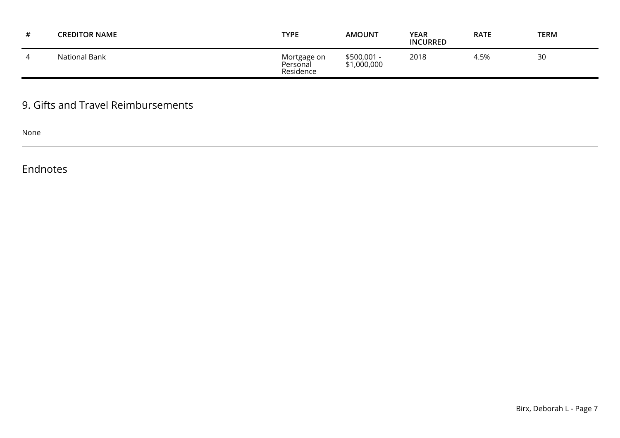| <b>CREDITOR NAME</b> | <b>TYPE</b>                          | <b>AMOUNT</b>              | <b>YEAR</b><br><b>INCURRED</b> | <b>RATE</b> | <b>TERM</b> |
|----------------------|--------------------------------------|----------------------------|--------------------------------|-------------|-------------|
| National Bank        | Mortgage on<br>Personal<br>Residence | \$500,001 -<br>\$1,000,000 | 2018                           | 4.5%        | 30          |

9. Gifts and Travel Reimbursements

None

Endnotes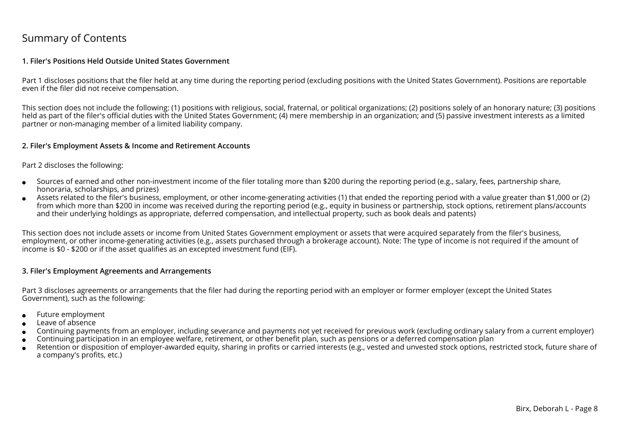# Summary of Contents

#### **1. Filer's Positions Held Outside United States Government**

Part 1 discloses positions that the filer held at any time during the reporting period (excluding positions with the United States Government). Positions are reportableeven if the filer did not receive compensation.

This section does not include the following: (1) positions with religious, social, fraternal, or political organizations; (2) positions solely of an honorary nature; (3) positionsheld as part of the filer's official duties with the United States Government; (4) mere membership in an organization; and (5) passive investment interests as a limitedpartner or non-managing member of a limited liability company.

#### **2. Filer's Employment Assets & Income and Retirement Accounts**

#### Part 2 discloses the following:

- ●Sources of earned and other non-investment income of the filer totaling more than \$200 during the reporting period (e.g., salary, fees, partnership share,honoraria, scholarships, and prizes)
- ● Assets related to the filer's business, employment, or other income-generating activities (1) that ended the reporting period with a value greater than \$1,000 or (2) from which more than \$200 in income was received during the reporting period (e.g., equity in business or partnership, stock options, retirement plans/accountsand their underlying holdings as appropriate, deferred compensation, and intellectual property, such as book deals and patents)

This section does not include assets or income from United States Government employment or assets that were acquired separately from the filer's business, employment, or other income-generating activities (e.g., assets purchased through a brokerage account). Note: The type of income is not required if the amount ofincome is \$0 - \$200 or if the asset qualifies as an excepted investment fund (EIF).

#### **3. Filer's Employment Agreements and Arrangements**

Part 3 discloses agreements or arrangements that the filer had during the reporting period with an employer or former employer (except the United StatesGovernment), such as the following:

- ●Future employment
- ●Leave of absence
- ●Continuing payments from an employer, including severance and payments not yet received for previous work (excluding ordinary salary from a current employer)
- ●Continuing participation in an employee welfare, retirement, or other benefit plan, such as pensions or a deferred compensation plan
- ● Retention or disposition of employer-awarded equity, sharing in profits or carried interests (e.g., vested and unvested stock options, restricted stock, future share ofa company's profits, etc.)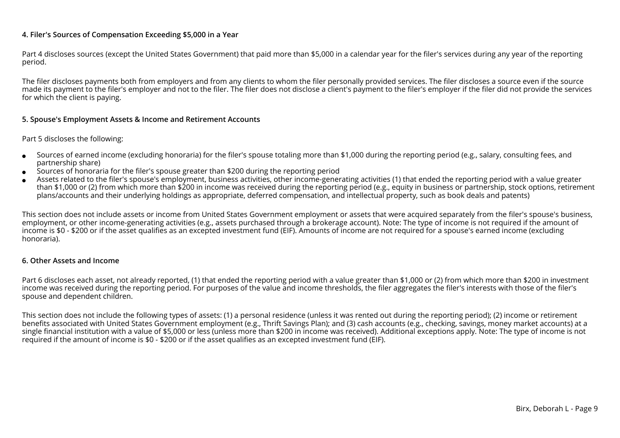#### **4. Filer's Sources of Compensation Exceeding \$5,000 in a Year**

Part 4 discloses sources (except the United States Government) that paid more than \$5,000 in a calendar year for the filer's services during any year of the reportingperiod.

The filer discloses payments both from employers and from any clients to whom the filer personally provided services. The filer discloses a source even if the source made its payment to the filer's employer and not to the filer. The filer does not disclose a client's payment to the filer's employer if the filer did not provide the servicesfor which the client is paying.

#### **5. Spouse's Employment Assets & Income and Retirement Accounts**

#### Part 5 discloses the following:

- ●Sources of earned income (excluding honoraria) for the filer's spouse totaling more than \$1,000 during the reporting period (e.g., salary, consulting fees, andpartnership share)
- ●Sources of honoraria for the filer's spouse greater than \$200 during the reporting period
- ● Assets related to the filer's spouse's employment, business activities, other income-generating activities (1) that ended the reporting period with a value greater than \$1,000 or (2) from which more than \$200 in income was received during the reporting period (e.g., equity in business or partnership, stock options, retirementplans/accounts and their underlying holdings as appropriate, deferred compensation, and intellectual property, such as book deals and patents)

This section does not include assets or income from United States Government employment or assets that were acquired separately from the filer's spouse's business,employment, or other income-generating activities (e.g., assets purchased through a brokerage account). Note: The type of income is not required if the amount ofincome is \$0 - \$200 or if the asset qualifies as an excepted investment fund (EIF). Amounts of income are not required for a spouse's earned income (excludinghonoraria).

#### **6. Other Assets and Income**

Part 6 discloses each asset, not already reported, (1) that ended the reporting period with a value greater than \$1,000 or (2) from which more than \$200 in investmentincome was received during the reporting period. For purposes of the value and income thresholds, the filer aggregates the filer's interests with those of the filer'sspouse and dependent children.

This section does not include the following types of assets: (1) a personal residence (unless it was rented out during the reporting period); (2) income or retirement benefits associated with United States Government employment (e.g., Thrift Savings Plan); and (3) cash accounts (e.g., checking, savings, money market accounts) at a single financial institution with a value of \$5,000 or less (unless more than \$200 in income was received). Additional exceptions apply. Note: The type of income is notrequired if the amount of income is \$0 - \$200 or if the asset qualifies as an excepted investment fund (EIF).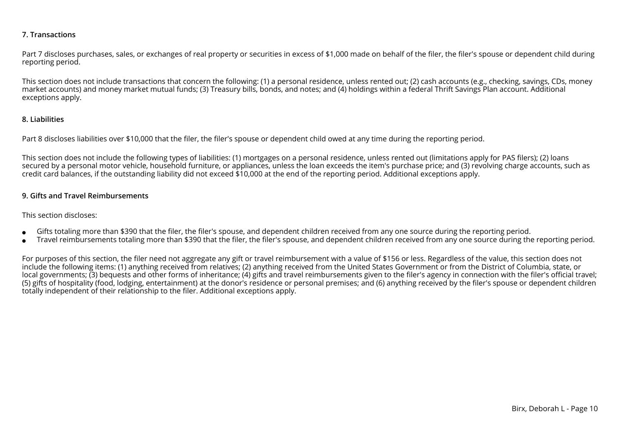#### **7. Transactions**

Part 7 discloses purchases, sales, or exchanges of real property or securities in excess of \$1,000 made on behalf of the filer, the filer's spouse or dependent child during reporting period.

This section does not include transactions that concern the following: (1) a personal residence, unless rented out; (2) cash accounts (e.g., checking, savings, CDs, moneymarket accounts) and money market mutual funds; (3) Treasury bills, bonds, and notes; and (4) holdings within a federal Thrift Savings Plan account. Additionalexceptions apply.

#### **8. Liabilities**

Part 8 discloses liabilities over \$10,000 that the filer, the filer's spouse or dependent child owed at any time during the reporting period.

This section does not include the following types of liabilities: (1) mortgages on a personal residence, unless rented out (limitations apply for PAS filers); (2) loans secured by a personal motor vehicle, household furniture, or appliances, unless the loan exceeds the item's purchase price; and (3) revolving charge accounts, such ascredit card balances, if the outstanding liability did not exceed \$10,000 at the end of the reporting period. Additional exceptions apply.

#### **9. Gifts and Travel Reimbursements**

#### This section discloses:

- ●Gifts totaling more than \$390 that the filer, the filer's spouse, and dependent children received from any one source during the reporting period.
- ●Travel reimbursements totaling more than \$390 that the filer, the filer's spouse, and dependent children received from any one source during the reporting period.

For purposes of this section, the filer need not aggregate any gift or travel reimbursement with a value of \$156 or less. Regardless of the value, this section does not include the following items: (1) anything received from relatives; (2) anything received from the United States Government or from the District of Columbia, state, or local governments; (3) bequests and other forms of inheritance; (4) gifts and travel reimbursements given to the filer's agency in connection with the filer's official travel; (5) gifts of hospitality (food, lodging, entertainment) at the donor's residence or personal premises; and (6) anything received by the filer's spouse or dependent childrentotally independent of their relationship to the filer. Additional exceptions apply.